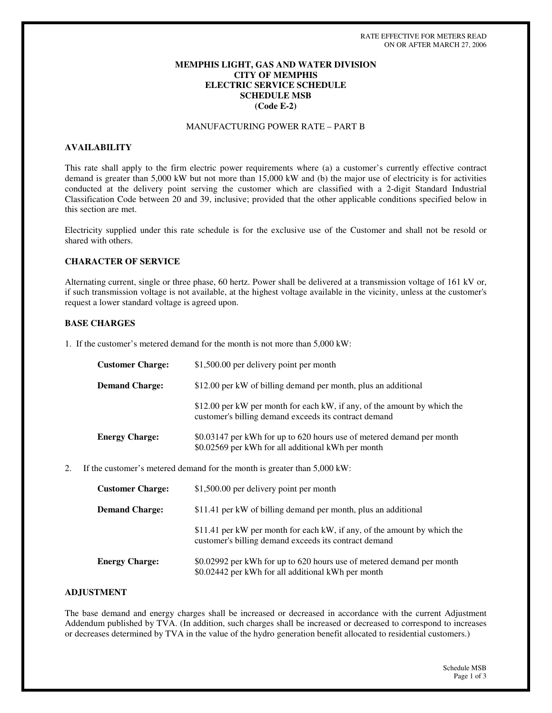# **MEMPHIS LIGHT, GAS AND WATER DIVISION CITY OF MEMPHIS ELECTRIC SERVICE SCHEDULE SCHEDULE MSB (Code E-2)**

# MANUFACTURING POWER RATE – PART B

#### **AVAILABILITY**

This rate shall apply to the firm electric power requirements where (a) a customer's currently effective contract demand is greater than 5,000 kW but not more than 15,000 kW and (b) the major use of electricity is for activities conducted at the delivery point serving the customer which are classified with a 2-digit Standard Industrial Classification Code between 20 and 39, inclusive; provided that the other applicable conditions specified below in this section are met.

Electricity supplied under this rate schedule is for the exclusive use of the Customer and shall not be resold or shared with others.

#### **CHARACTER OF SERVICE**

Alternating current, single or three phase, 60 hertz. Power shall be delivered at a transmission voltage of 161 kV or, if such transmission voltage is not available, at the highest voltage available in the vicinity, unless at the customer's request a lower standard voltage is agreed upon.

#### **BASE CHARGES**

1. If the customer's metered demand for the month is not more than 5,000 kW:

| <b>Customer Charge:</b> | \$1,500.00 per delivery point per month                                                                                           |
|-------------------------|-----------------------------------------------------------------------------------------------------------------------------------|
| <b>Demand Charge:</b>   | \$12.00 per kW of billing demand per month, plus an additional                                                                    |
|                         | \$12.00 per kW per month for each kW, if any, of the amount by which the<br>customer's billing demand exceeds its contract demand |
| <b>Energy Charge:</b>   | \$0.03147 per kWh for up to 620 hours use of metered demand per month<br>\$0.02569 per kWh for all additional kWh per month       |

2. If the customer's metered demand for the month is greater than 5,000 kW:

| <b>Customer Charge:</b> | \$1,500.00 per delivery point per month                                                                                           |
|-------------------------|-----------------------------------------------------------------------------------------------------------------------------------|
| <b>Demand Charge:</b>   | \$11.41 per kW of billing demand per month, plus an additional                                                                    |
|                         | \$11.41 per kW per month for each kW, if any, of the amount by which the<br>customer's billing demand exceeds its contract demand |
| <b>Energy Charge:</b>   | \$0.02992 per kWh for up to 620 hours use of metered demand per month<br>\$0.02442 per kWh for all additional kWh per month       |

#### **ADJUSTMENT**

The base demand and energy charges shall be increased or decreased in accordance with the current Adjustment Addendum published by TVA. (In addition, such charges shall be increased or decreased to correspond to increases or decreases determined by TVA in the value of the hydro generation benefit allocated to residential customers.)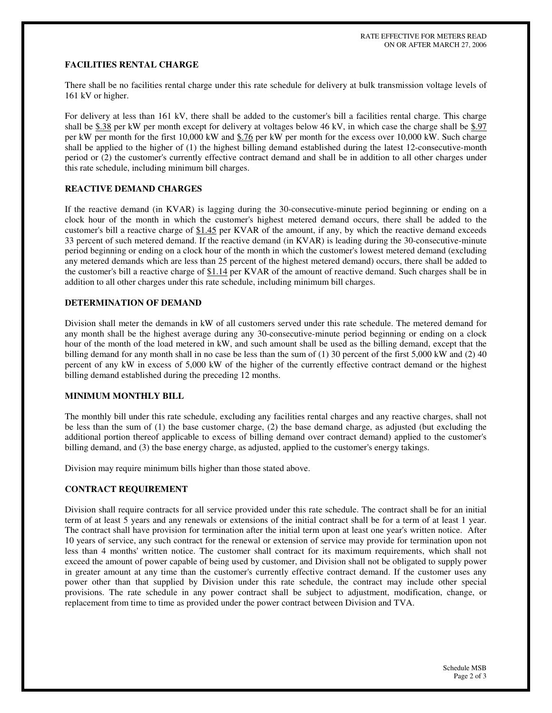## **FACILITIES RENTAL CHARGE**

There shall be no facilities rental charge under this rate schedule for delivery at bulk transmission voltage levels of 161 kV or higher.

For delivery at less than 161 kV, there shall be added to the customer's bill a facilities rental charge. This charge shall be \$.38 per kW per month except for delivery at voltages below 46 kV, in which case the charge shall be \$.97 per kW per month for the first 10,000 kW and \$.76 per kW per month for the excess over 10,000 kW. Such charge shall be applied to the higher of (1) the highest billing demand established during the latest 12-consecutive-month period or (2) the customer's currently effective contract demand and shall be in addition to all other charges under this rate schedule, including minimum bill charges.

### **REACTIVE DEMAND CHARGES**

If the reactive demand (in KVAR) is lagging during the 30-consecutive-minute period beginning or ending on a clock hour of the month in which the customer's highest metered demand occurs, there shall be added to the customer's bill a reactive charge of \$1.45 per KVAR of the amount, if any, by which the reactive demand exceeds 33 percent of such metered demand. If the reactive demand (in KVAR) is leading during the 30-consecutive-minute period beginning or ending on a clock hour of the month in which the customer's lowest metered demand (excluding any metered demands which are less than 25 percent of the highest metered demand) occurs, there shall be added to the customer's bill a reactive charge of  $$1.14$  per KVAR of the amount of reactive demand. Such charges shall be in addition to all other charges under this rate schedule, including minimum bill charges.

### **DETERMINATION OF DEMAND**

Division shall meter the demands in kW of all customers served under this rate schedule. The metered demand for any month shall be the highest average during any 30-consecutive-minute period beginning or ending on a clock hour of the month of the load metered in kW, and such amount shall be used as the billing demand, except that the billing demand for any month shall in no case be less than the sum of  $(1)$  30 percent of the first 5,000 kW and  $(2)$  40 percent of any kW in excess of 5,000 kW of the higher of the currently effective contract demand or the highest billing demand established during the preceding 12 months.

# **MINIMUM MONTHLY BILL**

The monthly bill under this rate schedule, excluding any facilities rental charges and any reactive charges, shall not be less than the sum of (1) the base customer charge, (2) the base demand charge, as adjusted (but excluding the additional portion thereof applicable to excess of billing demand over contract demand) applied to the customer's billing demand, and (3) the base energy charge, as adjusted, applied to the customer's energy takings.

Division may require minimum bills higher than those stated above.

#### **CONTRACT REQUIREMENT**

Division shall require contracts for all service provided under this rate schedule. The contract shall be for an initial term of at least 5 years and any renewals or extensions of the initial contract shall be for a term of at least 1 year. The contract shall have provision for termination after the initial term upon at least one year's written notice. After 10 years of service, any such contract for the renewal or extension of service may provide for termination upon not less than 4 months'written notice. The customer shall contract for its maximum requirements, which shall not exceed the amount of power capable of being used by customer, and Division shall not be obligated to supply power in greater amount at any time than the customer's currently effective contract demand. If the customer uses any power other than that supplied by Division under this rate schedule, the contract may include other special provisions. The rate schedule in any power contract shall be subject to adjustment, modification, change, or replacement from time to time as provided under the power contract between Division and TVA.